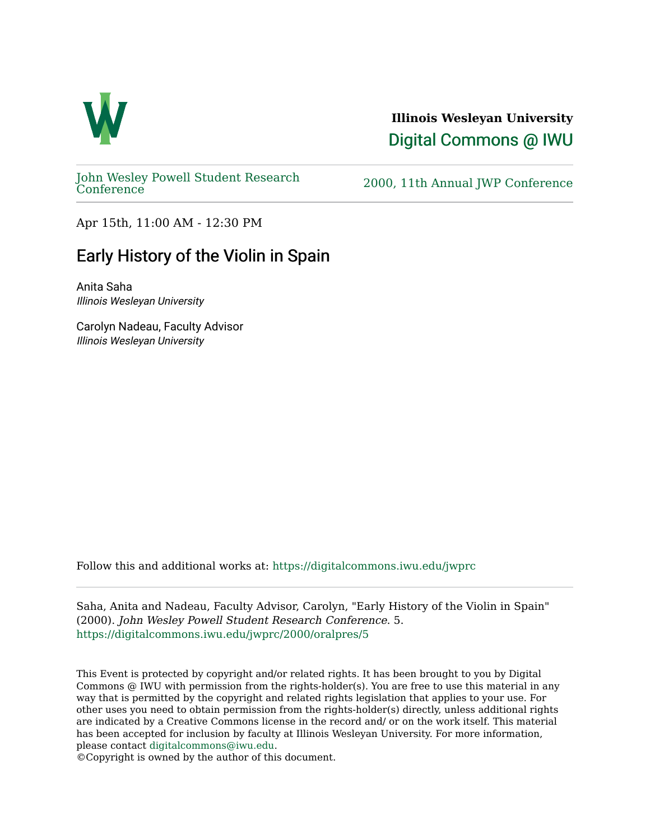

## **Illinois Wesleyan University**  [Digital Commons @ IWU](https://digitalcommons.iwu.edu/)

[John Wesley Powell Student Research](https://digitalcommons.iwu.edu/jwprc) 

2000, 11th Annual JWP [Conference](https://digitalcommons.iwu.edu/jwprc)

Apr 15th, 11:00 AM - 12:30 PM

## Early History of the Violin in Spain

Anita Saha Illinois Wesleyan University

Carolyn Nadeau, Faculty Advisor Illinois Wesleyan University

Follow this and additional works at: [https://digitalcommons.iwu.edu/jwprc](https://digitalcommons.iwu.edu/jwprc?utm_source=digitalcommons.iwu.edu%2Fjwprc%2F2000%2Foralpres%2F5&utm_medium=PDF&utm_campaign=PDFCoverPages) 

Saha, Anita and Nadeau, Faculty Advisor, Carolyn, "Early History of the Violin in Spain" (2000). John Wesley Powell Student Research Conference. 5. [https://digitalcommons.iwu.edu/jwprc/2000/oralpres/5](https://digitalcommons.iwu.edu/jwprc/2000/oralpres/5?utm_source=digitalcommons.iwu.edu%2Fjwprc%2F2000%2Foralpres%2F5&utm_medium=PDF&utm_campaign=PDFCoverPages) 

This Event is protected by copyright and/or related rights. It has been brought to you by Digital Commons @ IWU with permission from the rights-holder(s). You are free to use this material in any way that is permitted by the copyright and related rights legislation that applies to your use. For other uses you need to obtain permission from the rights-holder(s) directly, unless additional rights are indicated by a Creative Commons license in the record and/ or on the work itself. This material has been accepted for inclusion by faculty at Illinois Wesleyan University. For more information, please contact [digitalcommons@iwu.edu.](mailto:digitalcommons@iwu.edu)

©Copyright is owned by the author of this document.